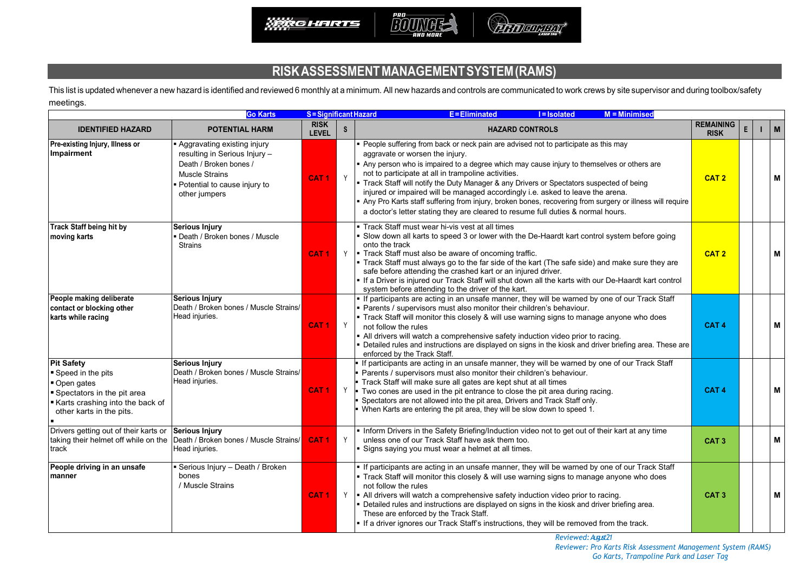

## **RISKASSESSMENTMANAGEMENTSYSTEM(RAMS)**

This list is updated whenever a new hazard is identified and reviewed 6 monthly at a minimum. All new hazards and controls are communicated to work crews by site supervisor and during toolbox/safety meetings.

|                                                                                                                                                     | <b>Go Karts</b>                                                                                                                                                  | <b>S</b> = Significant Hazard |              | E=Eliminated<br><b>I</b> =Isolated<br><b>M</b> = Minimised                                                                                                                                                                                                                                                                                                                                                                                                                                                                                                                                                                                             |                                 |              |   |  |
|-----------------------------------------------------------------------------------------------------------------------------------------------------|------------------------------------------------------------------------------------------------------------------------------------------------------------------|-------------------------------|--------------|--------------------------------------------------------------------------------------------------------------------------------------------------------------------------------------------------------------------------------------------------------------------------------------------------------------------------------------------------------------------------------------------------------------------------------------------------------------------------------------------------------------------------------------------------------------------------------------------------------------------------------------------------------|---------------------------------|--------------|---|--|
| <b>IDENTIFIED HAZARD</b>                                                                                                                            | <b>POTENTIAL HARM</b>                                                                                                                                            | <b>RISK</b><br><b>LEVEL</b>   | $\mathsf{s}$ | <b>HAZARD CONTROLS</b>                                                                                                                                                                                                                                                                                                                                                                                                                                                                                                                                                                                                                                 | <b>REMAINING</b><br><b>RISK</b> | $\mathsf{E}$ | M |  |
| Pre-existing Injury, Illness or<br>Impairment                                                                                                       | Aggravating existing injury<br>resulting in Serious Injury -<br>Death / Broken bones /<br><b>Muscle Strains</b><br>Potential to cause injury to<br>other jumpers | CAT <sub>1</sub>              | Y            | People suffering from back or neck pain are advised not to participate as this may<br>aggravate or worsen the injury.<br>Any person who is impaired to a degree which may cause injury to themselves or others are<br>not to participate at all in trampoline activities.<br>Track Staff will notify the Duty Manager & any Drivers or Spectators suspected of being<br>injured or impaired will be managed accordingly i.e. asked to leave the arena.<br>Any Pro Karts staff suffering from injury, broken bones, recovering from surgery or illness will require<br>a doctor's letter stating they are cleared to resume full duties & normal hours. | CAT <sub>2</sub>                |              | М |  |
| <b>Track Staff being hit by</b><br>moving karts                                                                                                     | Serious Injury<br>Death / Broken bones / Muscle<br><b>Strains</b>                                                                                                | CAT <sub>1</sub>              |              | Track Staff must wear hi-vis vest at all times<br>Slow down all karts to speed 3 or lower with the De-Haardt kart control system before going<br>onto the track<br>$\gamma$   Track Staff must also be aware of oncoming traffic.<br>Track Staff must always go to the far side of the kart (The safe side) and make sure they are<br>safe before attending the crashed kart or an injured driver.<br>If a Driver is injured our Track Staff will shut down all the karts with our De-Haardt kart control<br>system before attending to the driver of the kart.                                                                                        | CAT <sub>2</sub>                |              | M |  |
| People making deliberate<br>contact or blocking other<br>karts while racing                                                                         | Serious Injury<br>Death / Broken bones / Muscle Strains/<br>Head injuries.                                                                                       | CAT <sub>1</sub>              | Y            | If participants are acting in an unsafe manner, they will be warned by one of our Track Staff<br>Parents / supervisors must also monitor their children's behaviour.<br>Track Staff will monitor this closely & will use warning signs to manage anyone who does<br>not follow the rules<br>• All drivers will watch a comprehensive safety induction video prior to racing.<br>Detailed rules and instructions are displayed on signs in the kiosk and driver briefing area. These are<br>enforced by the Track Staff.                                                                                                                                | CAT <sub>4</sub>                |              | M |  |
| <b>Pit Safety</b><br>■ Speed in the pits<br>Open gates<br>Spectators in the pit area<br>Karts crashing into the back of<br>other karts in the pits. | <b>Serious Injury</b><br>Death / Broken bones / Muscle Strains/<br>Head injuries.                                                                                | CAT <sub>1</sub>              | Y            | If participants are acting in an unsafe manner, they will be warned by one of our Track Staff<br>Parents / supervisors must also monitor their children's behaviour.<br>Track Staff will make sure all gates are kept shut at all times<br>Two cones are used in the pit entrance to close the pit area during racing.<br>Spectators are not allowed into the pit area, Drivers and Track Staff only.<br>When Karts are entering the pit area, they will be slow down to speed 1.                                                                                                                                                                      | CAT <sub>4</sub>                |              | M |  |
| Drivers getting out of their karts or<br>taking their helmet off while on the<br>track                                                              | <b>Serious Injury</b><br>Death / Broken bones / Muscle Strains/<br>Head injuries.                                                                                | CAT <sub>1</sub>              | Y            | . Inform Drivers in the Safety Briefing/Induction video not to get out of their kart at any time<br>unless one of our Track Staff have ask them too.<br>Signs saying you must wear a helmet at all times.                                                                                                                                                                                                                                                                                                                                                                                                                                              | CAT <sub>3</sub>                |              | M |  |
| People driving in an unsafe<br>manner                                                                                                               | Serious Injury - Death / Broken<br>bones<br>/ Muscle Strains                                                                                                     | CAT <sub>1</sub>              |              | If participants are acting in an unsafe manner, they will be warned by one of our Track Staff<br>Track Staff will monitor this closely & will use warning signs to manage anyone who does<br>not follow the rules<br>$\gamma$   All drivers will watch a comprehensive safety induction video prior to racing.<br>Detailed rules and instructions are displayed on signs in the kiosk and driver briefing area.<br>These are enforced by the Track Staff.<br>If a driver ignores our Track Staff's instructions, they will be removed from the track.                                                                                                  | CAT <sub>3</sub>                |              | M |  |

*Reviewed:August21* 

*Reviewer: Pro Karts Risk Assessment Management System (RAMS) Go Karts, Trampoline Park and Laser Tag*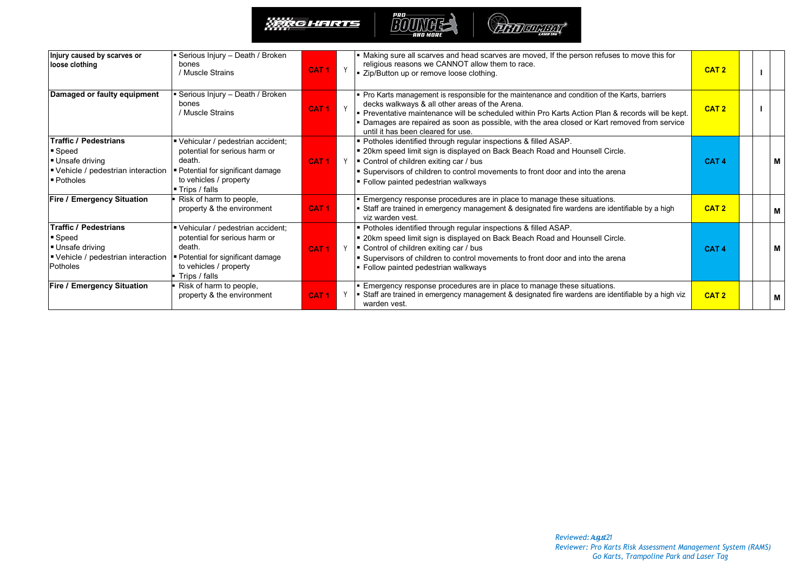



| Injury caused by scarves or<br>loose clothing                                                                      | Serious Injury – Death / Broken<br>bones<br>/ Muscle Strains                                                                                                              | CAT <sub>1</sub> | Y | Making sure all scarves and head scarves are moved, If the person refuses to move this for<br>religious reasons we CANNOT allow them to race.<br>■ Zip/Button up or remove loose clothing.                                                                                                                                                                                                 | CAT <sub>2</sub> |  |   |
|--------------------------------------------------------------------------------------------------------------------|---------------------------------------------------------------------------------------------------------------------------------------------------------------------------|------------------|---|--------------------------------------------------------------------------------------------------------------------------------------------------------------------------------------------------------------------------------------------------------------------------------------------------------------------------------------------------------------------------------------------|------------------|--|---|
| Damaged or faulty equipment                                                                                        | Serious Injury – Death / Broken<br>bones<br>/ Muscle Strains                                                                                                              | CAT <sub>1</sub> | Y | Pro Karts management is responsible for the maintenance and condition of the Karts, barriers<br>decks walkways & all other areas of the Arena.<br>- Preventative maintenance will be scheduled within Pro Karts Action Plan & records will be kept.<br>• Damages are repaired as soon as possible, with the area closed or Kart removed from service<br>until it has been cleared for use. | CAT <sub>2</sub> |  |   |
| <b>Traffic / Pedestrians</b><br>■ Speed<br>Unsafe driving<br>Vehicle / pedestrian interaction<br><b>■ Potholes</b> | Vehicular / pedestrian accident;<br>potential for serious harm or<br>death.<br>Potential for significant damage<br>to vehicles / property<br>$\blacksquare$ Trips / falls | CAT <sub>1</sub> | Y | " Potholes identified through regular inspections & filled ASAP.<br>" 20km speed limit sign is displayed on Back Beach Road and Hounsell Circle.<br>■ Control of children exiting car / bus<br>■ Supervisors of children to control movements to front door and into the arena<br>■ Follow painted pedestrian walkways                                                                     | CAT <sub>4</sub> |  | м |
| <b>Fire / Emergency Situation</b>                                                                                  | Risk of harm to people,<br>property & the environment                                                                                                                     | CAT <sub>1</sub> |   | Emergency response procedures are in place to manage these situations.<br>Staff are trained in emergency management & designated fire wardens are identifiable by a high<br>viz warden vest.                                                                                                                                                                                               | CAT <sub>2</sub> |  | м |
| <b>Traffic / Pedestrians</b><br>■ Speed<br>Unsafe driving<br>Vehicle / pedestrian interaction<br>Potholes          | Vehicular / pedestrian accident;<br>potential for serious harm or<br>death.<br>• Potential for significant damage<br>to vehicles / property<br>Trips / falls              | CAT <sub>1</sub> |   | Potholes identified through regular inspections & filled ASAP.<br>■ 20km speed limit sign is displayed on Back Beach Road and Hounsell Circle.<br>$\gamma$   Control of children exiting car / bus<br>Supervisors of children to control movements to front door and into the arena<br>• Follow painted pedestrian walkways                                                                | CAT <sub>4</sub> |  | м |
| <b>Fire / Emergency Situation</b>                                                                                  | Risk of harm to people,<br>property & the environment                                                                                                                     | CAT <sub>1</sub> | Y | Emergency response procedures are in place to manage these situations.<br>Staff are trained in emergency management & designated fire wardens are identifiable by a high viz<br>warden vest.                                                                                                                                                                                               | CAT <sub>2</sub> |  | м |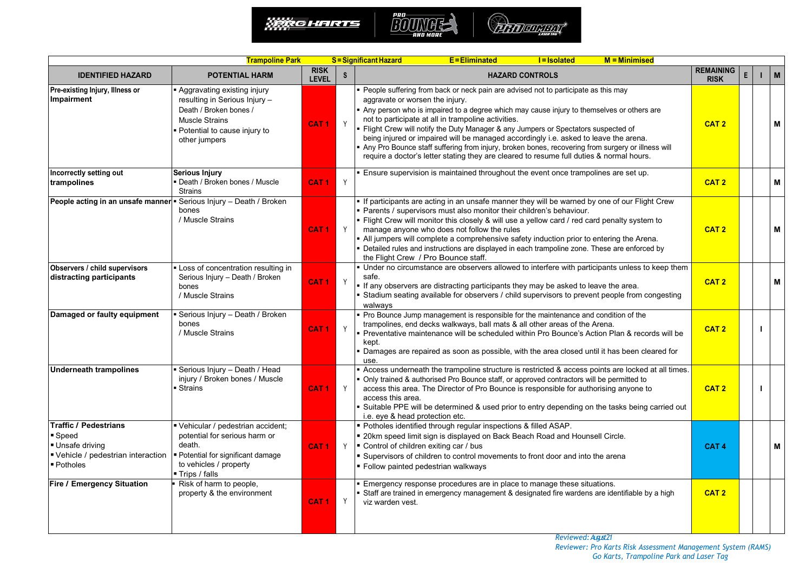

| <b>Trampoline Park</b>                                                                                        |                                                                                                                                                                |                             |                           | <b>E</b> =Eliminated<br>$M =$ Minimised<br>S = Significant Hazard<br><b>I</b> =Isolated                                                                                                                                                                                                                                                                                                                                                                                                                                                                                                                                                                   |                                 |   |              |
|---------------------------------------------------------------------------------------------------------------|----------------------------------------------------------------------------------------------------------------------------------------------------------------|-----------------------------|---------------------------|-----------------------------------------------------------------------------------------------------------------------------------------------------------------------------------------------------------------------------------------------------------------------------------------------------------------------------------------------------------------------------------------------------------------------------------------------------------------------------------------------------------------------------------------------------------------------------------------------------------------------------------------------------------|---------------------------------|---|--------------|
| <b>IDENTIFIED HAZARD</b>                                                                                      | <b>POTENTIAL HARM</b>                                                                                                                                          | <b>RISK</b><br><b>LEVEL</b> | $\boldsymbol{\mathsf{S}}$ | <b>HAZARD CONTROLS</b>                                                                                                                                                                                                                                                                                                                                                                                                                                                                                                                                                                                                                                    | <b>REMAINING</b><br><b>RISK</b> | E | $\mathbf{M}$ |
| Pre-existing Injury, Illness or<br>Impairment                                                                 | Aggravating existing injury<br>resulting in Serious Injury -<br>Death / Broken bones /<br>Muscle Strains<br>Potential to cause injury to<br>other jumpers      | CAT <sub>1</sub>            | Y                         | • People suffering from back or neck pain are advised not to participate as this may<br>aggravate or worsen the injury.<br>Any person who is impaired to a degree which may cause injury to themselves or others are<br>not to participate at all in trampoline activities.<br>Flight Crew will notify the Duty Manager & any Jumpers or Spectators suspected of<br>being injured or impaired will be managed accordingly i.e. asked to leave the arena.<br>Any Pro Bounce staff suffering from injury, broken bones, recovering from surgery or illness will<br>require a doctor's letter stating they are cleared to resume full duties & normal hours. | CAT <sub>2</sub>                |   | М            |
| Incorrectly setting out<br>trampolines                                                                        | <b>Serious Injury</b><br>Death / Broken bones / Muscle<br><b>Strains</b>                                                                                       | CAT <sub>1</sub>            | Y                         | Ensure supervision is maintained throughout the event once trampolines are set up.                                                                                                                                                                                                                                                                                                                                                                                                                                                                                                                                                                        | CAT <sub>2</sub>                |   | М            |
| People acting in an unsafe manner = Serious Injury - Death / Broken                                           | bones<br>/ Muscle Strains                                                                                                                                      | CAT <sub>1</sub>            | Y                         | . If participants are acting in an unsafe manner they will be warned by one of our Flight Crew<br>Parents / supervisors must also monitor their children's behaviour.<br>. Flight Crew will monitor this closely & will use a yellow card / red card penalty system to<br>manage anyone who does not follow the rules<br>• All jumpers will complete a comprehensive safety induction prior to entering the Arena.<br>• Detailed rules and instructions are displayed in each trampoline zone. These are enforced by<br>the Flight Crew / Pro Bounce staff.                                                                                               | CAT <sub>2</sub>                |   | M            |
| Observers / child supervisors<br>distracting participants                                                     | Loss of concentration resulting in<br>Serious Injury - Death / Broken<br>bones<br>/ Muscle Strains                                                             | CAT <sub>1</sub>            | Y                         | Under no circumstance are observers allowed to interfere with participants unless to keep them<br>safe.<br>If any observers are distracting participants they may be asked to leave the area.<br>Stadium seating available for observers / child supervisors to prevent people from congesting<br>walways                                                                                                                                                                                                                                                                                                                                                 | CAT <sub>2</sub>                |   | М            |
| Damaged or faulty equipment                                                                                   | Serious Injury - Death / Broken<br>bones<br>/ Muscle Strains                                                                                                   | CAT <sub>1</sub>            | Y                         | • Pro Bounce Jump management is responsible for the maintenance and condition of the<br>trampolines, end decks walkways, ball mats & all other areas of the Arena.<br>Preventative maintenance will be scheduled within Pro Bounce's Action Plan & records will be<br>kept.<br>Damages are repaired as soon as possible, with the area closed until it has been cleared for<br>use.                                                                                                                                                                                                                                                                       | CAT <sub>2</sub>                |   |              |
| <b>Underneath trampolines</b>                                                                                 | Serious Injury - Death / Head<br>injury / Broken bones / Muscle<br>■ Strains                                                                                   | CAT <sub>1</sub>            | Y                         | Access underneath the trampoline structure is restricted & access points are locked at all times.<br>Only trained & authorised Pro Bounce staff, or approved contractors will be permitted to<br>access this area. The Director of Pro Bounce is responsible for authorising anyone to<br>access this area.<br>Suitable PPE will be determined & used prior to entry depending on the tasks being carried out<br>i.e. eye & head protection etc.                                                                                                                                                                                                          | CAT <sub>2</sub>                |   |              |
| <b>Traffic / Pedestrians</b><br>■ Speed<br>Unsafe driving<br>■ Vehicle / pedestrian interaction<br>■ Potholes | Vehicular / pedestrian accident;<br>potential for serious harm or<br>death.<br>■ Potential for significant damage<br>to vehicles / property<br>■ Trips / falls | CAT <sub>1</sub>            | Y                         | " Potholes identified through regular inspections & filled ASAP.<br>" 20km speed limit sign is displayed on Back Beach Road and Hounsell Circle.<br>■ Control of children exiting car / bus<br>Supervisors of children to control movements to front door and into the arena<br>Follow painted pedestrian walkways                                                                                                                                                                                                                                                                                                                                        | CAT <sub>4</sub>                |   | М            |
| <b>Fire / Emergency Situation</b>                                                                             | Risk of harm to people,<br>property & the environment                                                                                                          | CAT <sub>1</sub>            | Y                         | Emergency response procedures are in place to manage these situations.<br>Staff are trained in emergency management & designated fire wardens are identifiable by a high<br>viz warden vest.                                                                                                                                                                                                                                                                                                                                                                                                                                                              | CAT <sub>2</sub>                |   |              |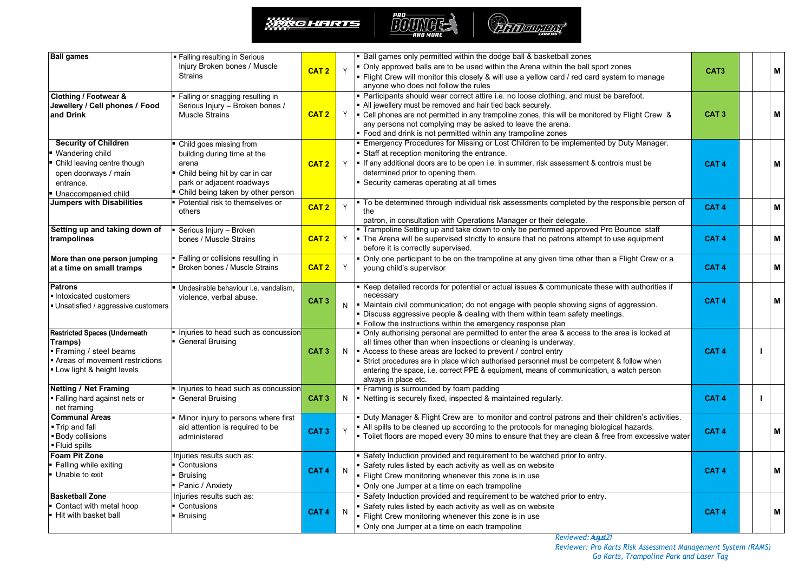



| <b>Ball games</b>                                                                                                                         | <b>Falling resulting in Serious</b><br>Injury Broken bones / Muscle<br><b>Strains</b>                                                                                                                                                                                                                                                                                                                                                                                                                                  | CAT <sub>2</sub>                                                                                                                                                                                                                                                                                                                                                       | ■ Ball games only permitted within the dodge ball & basketball zones<br>Only approved balls are to be used within the Arena within the ball sport zones<br>Y<br>• Flight Crew will monitor this closely & will use a yellow card / red card system to manage<br>anyone who does not follow the rules<br>Participants should wear correct attire i.e. no loose clothing, and must be barefoot. |                                                                                                                                                                                                                                                                                                                                                                                                                                               | CAT <sub>3</sub> |   | M                         |
|-------------------------------------------------------------------------------------------------------------------------------------------|------------------------------------------------------------------------------------------------------------------------------------------------------------------------------------------------------------------------------------------------------------------------------------------------------------------------------------------------------------------------------------------------------------------------------------------------------------------------------------------------------------------------|------------------------------------------------------------------------------------------------------------------------------------------------------------------------------------------------------------------------------------------------------------------------------------------------------------------------------------------------------------------------|-----------------------------------------------------------------------------------------------------------------------------------------------------------------------------------------------------------------------------------------------------------------------------------------------------------------------------------------------------------------------------------------------|-----------------------------------------------------------------------------------------------------------------------------------------------------------------------------------------------------------------------------------------------------------------------------------------------------------------------------------------------------------------------------------------------------------------------------------------------|------------------|---|---------------------------|
| Clothing / Footwear &<br>Jewellery / Cell phones / Food<br>and Drink                                                                      | Falling or snagging resulting in<br>Serious Injury - Broken bones /<br><b>Muscle Strains</b>                                                                                                                                                                                                                                                                                                                                                                                                                           | CAT <sub>2</sub>                                                                                                                                                                                                                                                                                                                                                       | Y                                                                                                                                                                                                                                                                                                                                                                                             | All jewellery must be removed and hair tied back securely.<br>Fell phones are not permitted in any trampoline zones, this will be monitored by Flight Crew &<br>any persons not complying may be asked to leave the arena.<br>Food and drink is not permitted within any trampoline zones                                                                                                                                                     | CAT <sub>3</sub> |   | M                         |
| <b>Security of Children</b><br>Wandering child<br>Child leaving centre though<br>open doorways / main<br>entrance.<br>Unaccompanied child | <b>Emergency Procedures for Missing or Lost Children to be implemented by Duty Manager.</b><br>Child goes missing from<br>Staff at reception monitoring the entrance.<br>building during time at the<br>If any additional doors are to be open i.e. in summer, risk assessment & controls must be<br>arena<br>CAT <sub>2</sub><br>Y<br>determined prior to opening them.<br>Child being hit by car in car<br>park or adjacent roadways<br>Security cameras operating at all times<br>Child being taken by other person |                                                                                                                                                                                                                                                                                                                                                                        | CAT <sub>4</sub>                                                                                                                                                                                                                                                                                                                                                                              |                                                                                                                                                                                                                                                                                                                                                                                                                                               | M                |   |                           |
| <b>Jumpers with Disabilities</b>                                                                                                          | Potential risk to themselves or<br>others                                                                                                                                                                                                                                                                                                                                                                                                                                                                              | CAT <sub>2</sub>                                                                                                                                                                                                                                                                                                                                                       | Y                                                                                                                                                                                                                                                                                                                                                                                             | To be determined through individual risk assessments completed by the responsible person of<br>the<br>patron, in consultation with Operations Manager or their delegate.                                                                                                                                                                                                                                                                      | CAT <sub>4</sub> | M |                           |
| Setting up and taking down of<br>trampolines                                                                                              | . Trampoline Setting up and take down to only be performed approved Pro Bounce staff<br>Serious Injury - Broken<br>CAT <sub>2</sub><br>Y<br>- The Arena will be supervised strictly to ensure that no patrons attempt to use equipment<br>bones / Muscle Strains<br>before it is correctly supervised.                                                                                                                                                                                                                 |                                                                                                                                                                                                                                                                                                                                                                        | CAT <sub>4</sub>                                                                                                                                                                                                                                                                                                                                                                              |                                                                                                                                                                                                                                                                                                                                                                                                                                               | M                |   |                           |
| More than one person jumping<br>at a time on small tramps                                                                                 | Falling or collisions resulting in<br>Only one participant to be on the trampoline at any given time other than a Flight Crew or a<br>CAT <sub>2</sub><br>Broken bones / Muscle Strains<br>Y<br>young child's supervisor                                                                                                                                                                                                                                                                                               |                                                                                                                                                                                                                                                                                                                                                                        | CAT <sub>4</sub>                                                                                                                                                                                                                                                                                                                                                                              |                                                                                                                                                                                                                                                                                                                                                                                                                                               | M                |   |                           |
| <b>Patrons</b><br>Intoxicated customers<br>. Unsatisfied / aggressive customers                                                           | Undesirable behaviour <i>i.e.</i> vandalism.<br>violence, verbal abuse.                                                                                                                                                                                                                                                                                                                                                                                                                                                | Keep detailed records for potential or actual issues & communicate these with authorities if<br>necessary<br>CAT <sub>3</sub><br>Maintain civil communication; do not engage with people showing signs of aggression.<br>N<br>Discuss aggressive people & dealing with them within team safety meetings.<br>Follow the instructions within the emergency response plan |                                                                                                                                                                                                                                                                                                                                                                                               | CAT <sub>4</sub>                                                                                                                                                                                                                                                                                                                                                                                                                              |                  | M |                           |
| <b>Restricted Spaces (Underneath</b><br>Tramps)<br>Framing / steel beams<br>Areas of movement restrictions<br>. Low light & height levels | Injuries to head such as concussion<br><b>General Bruising</b>                                                                                                                                                                                                                                                                                                                                                                                                                                                         | CAT <sub>3</sub>                                                                                                                                                                                                                                                                                                                                                       | N                                                                                                                                                                                                                                                                                                                                                                                             | Only authorising personal are permitted to enter the area & access to the area is locked at<br>all times other than when inspections or cleaning is underway.<br>Access to these areas are locked to prevent / control entry<br>Strict procedures are in place which authorised personnel must be competent & follow when<br>entering the space, i.e. correct PPE & equipment, means of communication, a watch person<br>always in place etc. | CAT <sub>4</sub> |   |                           |
| <b>Netting / Net Framing</b><br>· Falling hard against nets or<br>net framing                                                             | Injuries to head such as concussion<br><b>General Bruising</b>                                                                                                                                                                                                                                                                                                                                                                                                                                                         | CAT <sub>3</sub>                                                                                                                                                                                                                                                                                                                                                       | N                                                                                                                                                                                                                                                                                                                                                                                             | Framing is surrounded by foam padding<br>Netting is securely fixed, inspected & maintained regularly.                                                                                                                                                                                                                                                                                                                                         | CAT <sub>4</sub> |   |                           |
| <b>Communal Areas</b><br>■ Trip and fall<br>■ Body collisions<br>■ Fluid spills                                                           | Minor injury to persons where first<br>aid attention is required to be<br>administered                                                                                                                                                                                                                                                                                                                                                                                                                                 | CAT <sub>3</sub>                                                                                                                                                                                                                                                                                                                                                       |                                                                                                                                                                                                                                                                                                                                                                                               | . Duty Manager & Flight Crew are to monitor and control patrons and their children's activities.<br>All spills to be cleaned up according to the protocols for managing biological hazards.<br>" Toilet floors are moped every 30 mins to ensure that they are clean & free from excessive water                                                                                                                                              | CAT <sub>4</sub> |   | M                         |
| <b>Foam Pit Zone</b><br>■ Falling while exiting<br>Unable to exit                                                                         | Injuries results such as:<br>Contusions<br><b>Bruising</b><br>Panic / Anxiety                                                                                                                                                                                                                                                                                                                                                                                                                                          | CAT <sub>4</sub>                                                                                                                                                                                                                                                                                                                                                       | N                                                                                                                                                                                                                                                                                                                                                                                             | Safety Induction provided and requirement to be watched prior to entry.<br>Safety rules listed by each activity as well as on website<br>Flight Crew monitoring whenever this zone is in use<br>Only one Jumper at a time on each trampoline                                                                                                                                                                                                  | CAT <sub>4</sub> |   | $\boldsymbol{\mathsf{M}}$ |
| <b>Basketball Zone</b><br>Contact with metal hoop<br><b>Hit with basket ball</b>                                                          | njuries results such as:<br>Contusions<br><b>Bruising</b>                                                                                                                                                                                                                                                                                                                                                                                                                                                              | CAT <sub>4</sub>                                                                                                                                                                                                                                                                                                                                                       | N                                                                                                                                                                                                                                                                                                                                                                                             | Safety Induction provided and requirement to be watched prior to entry.<br>Safety rules listed by each activity as well as on website<br>Flight Crew monitoring whenever this zone is in use<br>Only one Jumper at a time on each trampoline                                                                                                                                                                                                  | CAT <sub>4</sub> |   | M                         |

*Reviewed:August21*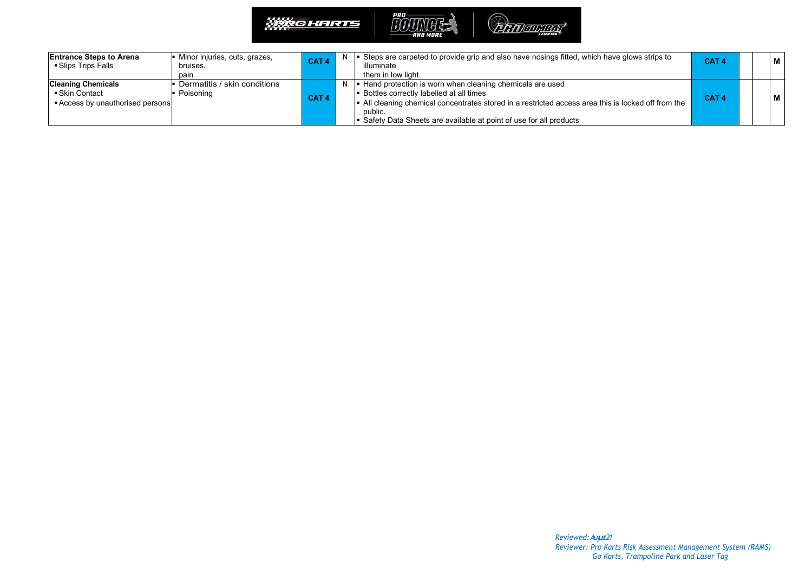

| <b>IEntrance Steps to Arena</b><br>■ Slips Trips Falls                          | Minor injuries, cuts, grazes,<br>bruises.<br>pain | CAT <sub>4</sub> | Steps are carpeted to provide grip and also have nosings fitted, which have glows strips to<br>illuminate<br>them in low light.                                                                                                                                                                            | CAT <sub>4</sub> |  | l M |
|---------------------------------------------------------------------------------|---------------------------------------------------|------------------|------------------------------------------------------------------------------------------------------------------------------------------------------------------------------------------------------------------------------------------------------------------------------------------------------------|------------------|--|-----|
| <b>Cleaning Chemicals</b><br>■ Skin Contact<br>■ Access by unauthorised persons | Dermatitis / skin conditions<br>Poisoning         | CAT <sub>4</sub> | <b>■ Hand protection is worn when cleaning chemicals are used</b><br><b>Bottles correctly labelled at all times</b><br>  All cleaning chemical concentrates stored in a restricted access area this is locked off from the<br>public.<br>Safety Data Sheets are available at point of use for all products | CAT <sub>4</sub> |  | l M |